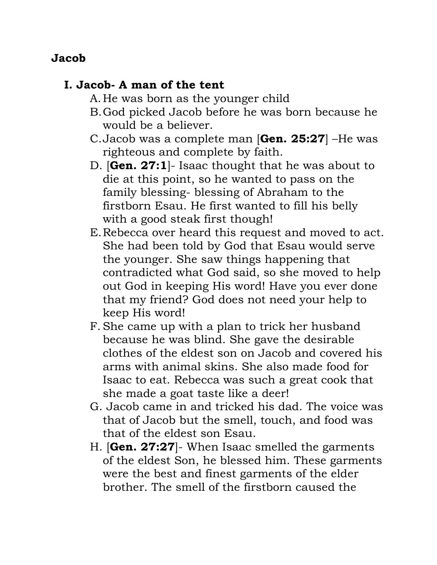### **Jacob**

# **I. Jacob- A man of the tent**

- A.He was born as the younger child
- B.God picked Jacob before he was born because he would be a believer.
- C.Jacob was a complete man [**Gen. 25:27**] –He was righteous and complete by faith.
- D. [**Gen. 27:1**]- Isaac thought that he was about to die at this point, so he wanted to pass on the family blessing- blessing of Abraham to the firstborn Esau. He first wanted to fill his belly with a good steak first though!
- E.Rebecca over heard this request and moved to act. She had been told by God that Esau would serve the younger. She saw things happening that contradicted what God said, so she moved to help out God in keeping His word! Have you ever done that my friend? God does not need your help to keep His word!
- F. She came up with a plan to trick her husband because he was blind. She gave the desirable clothes of the eldest son on Jacob and covered his arms with animal skins. She also made food for Isaac to eat. Rebecca was such a great cook that she made a goat taste like a deer!
- G. Jacob came in and tricked his dad. The voice was that of Jacob but the smell, touch, and food was that of the eldest son Esau.
- H. [**Gen. 27:27**]- When Isaac smelled the garments of the eldest Son, he blessed him. These garments were the best and finest garments of the elder brother. The smell of the firstborn caused the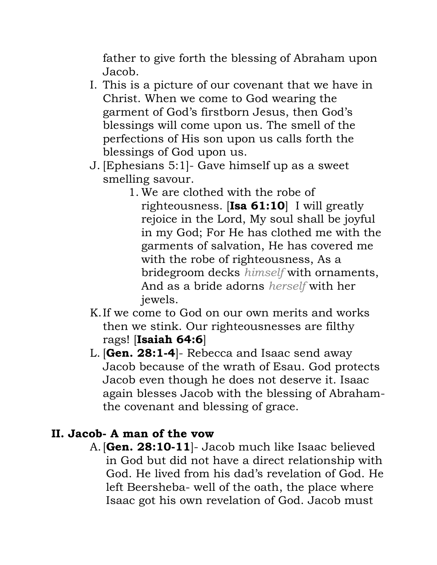father to give forth the blessing of Abraham upon Jacob.

- I. This is a picture of our covenant that we have in Christ. When we come to God wearing the garment of God's firstborn Jesus, then God's blessings will come upon us. The smell of the perfections of His son upon us calls forth the blessings of God upon us.
- J. [Ephesians 5:1]- Gave himself up as a sweet smelling savour.
	- 1. We are clothed with the robe of righteousness. [**Isa 61:10**] I will greatly rejoice in the Lord, My soul shall be joyful in my God; For He has clothed me with the garments of salvation, He has covered me with the robe of righteousness, As a bridegroom decks *himself* with ornaments, And as a bride adorns *herself* with her jewels.
- K.If we come to God on our own merits and works then we stink. Our righteousnesses are filthy rags! [**Isaiah 64:6**]
- L. [**Gen. 28:1-4**]- Rebecca and Isaac send away Jacob because of the wrath of Esau. God protects Jacob even though he does not deserve it. Isaac again blesses Jacob with the blessing of Abrahamthe covenant and blessing of grace.

# **II. Jacob- A man of the vow**

A.[**Gen. 28:10-11**]- Jacob much like Isaac believed in God but did not have a direct relationship with God. He lived from his dad's revelation of God. He left Beersheba- well of the oath, the place where Isaac got his own revelation of God. Jacob must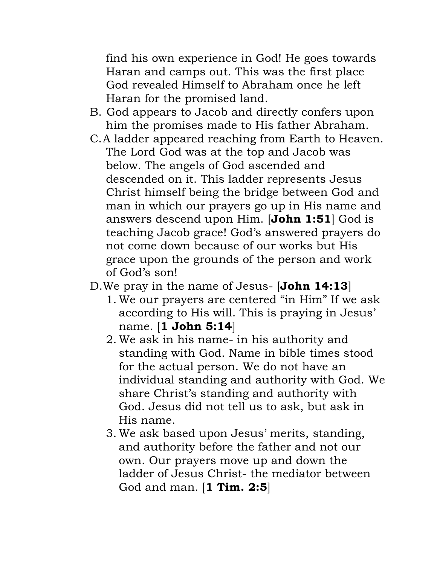find his own experience in God! He goes towards Haran and camps out. This was the first place God revealed Himself to Abraham once he left Haran for the promised land.

- B. God appears to Jacob and directly confers upon him the promises made to His father Abraham.
- C.A ladder appeared reaching from Earth to Heaven. The Lord God was at the top and Jacob was below. The angels of God ascended and descended on it. This ladder represents Jesus Christ himself being the bridge between God and man in which our prayers go up in His name and answers descend upon Him. [**John 1:51**] God is teaching Jacob grace! God's answered prayers do not come down because of our works but His grace upon the grounds of the person and work of God's son!
- D.We pray in the name of Jesus- [**John 14:13**]
	- 1. We our prayers are centered "in Him" If we ask according to His will. This is praying in Jesus' name. [**1 John 5:14**]
	- 2. We ask in his name- in his authority and standing with God. Name in bible times stood for the actual person. We do not have an individual standing and authority with God. We share Christ's standing and authority with God. Jesus did not tell us to ask, but ask in His name.
	- 3. We ask based upon Jesus' merits, standing, and authority before the father and not our own. Our prayers move up and down the ladder of Jesus Christ- the mediator between God and man. [**1 Tim. 2:5**]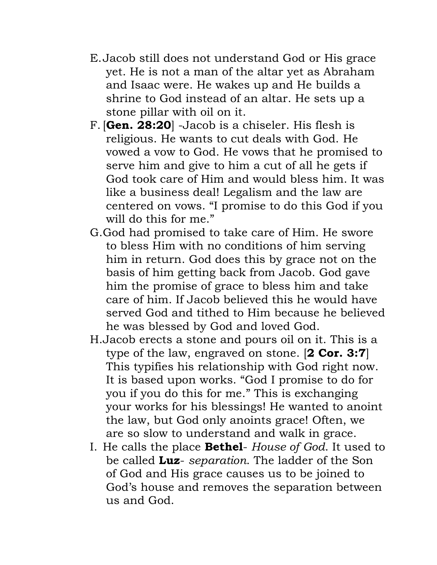- E.Jacob still does not understand God or His grace yet. He is not a man of the altar yet as Abraham and Isaac were. He wakes up and He builds a shrine to God instead of an altar. He sets up a stone pillar with oil on it.
- F. [**Gen. 28:20**] -Jacob is a chiseler. His flesh is religious. He wants to cut deals with God. He vowed a vow to God. He vows that he promised to serve him and give to him a cut of all he gets if God took care of Him and would bless him. It was like a business deal! Legalism and the law are centered on vows. "I promise to do this God if you will do this for me."
- G.God had promised to take care of Him. He swore to bless Him with no conditions of him serving him in return. God does this by grace not on the basis of him getting back from Jacob. God gave him the promise of grace to bless him and take care of him. If Jacob believed this he would have served God and tithed to Him because he believed he was blessed by God and loved God.
- H.Jacob erects a stone and pours oil on it. This is a type of the law, engraved on stone. [**2 Cor. 3:7**] This typifies his relationship with God right now. It is based upon works. "God I promise to do for you if you do this for me." This is exchanging your works for his blessings! He wanted to anoint the law, but God only anoints grace! Often, we are so slow to understand and walk in grace.
- I. He calls the place **Bethel** *House of God*. It used to be called **Luz**- *separation*. The ladder of the Son of God and His grace causes us to be joined to God's house and removes the separation between us and God.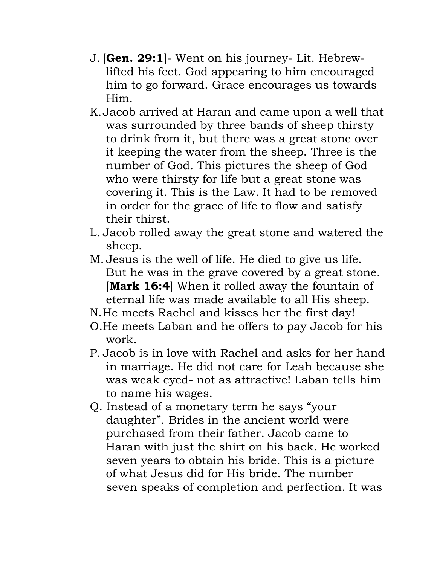- J. [**Gen. 29:1**]- Went on his journey- Lit. Hebrewlifted his feet. God appearing to him encouraged him to go forward. Grace encourages us towards Him.
- K.Jacob arrived at Haran and came upon a well that was surrounded by three bands of sheep thirsty to drink from it, but there was a great stone over it keeping the water from the sheep. Three is the number of God. This pictures the sheep of God who were thirsty for life but a great stone was covering it. This is the Law. It had to be removed in order for the grace of life to flow and satisfy their thirst.
- L. Jacob rolled away the great stone and watered the sheep.
- M. Jesus is the well of life. He died to give us life. But he was in the grave covered by a great stone. [**Mark 16:4**] When it rolled away the fountain of eternal life was made available to all His sheep.
- N.He meets Rachel and kisses her the first day!
- O.He meets Laban and he offers to pay Jacob for his work.
- P. Jacob is in love with Rachel and asks for her hand in marriage. He did not care for Leah because she was weak eyed- not as attractive! Laban tells him to name his wages.
- Q. Instead of a monetary term he says "your daughter". Brides in the ancient world were purchased from their father. Jacob came to Haran with just the shirt on his back. He worked seven years to obtain his bride. This is a picture of what Jesus did for His bride. The number seven speaks of completion and perfection. It was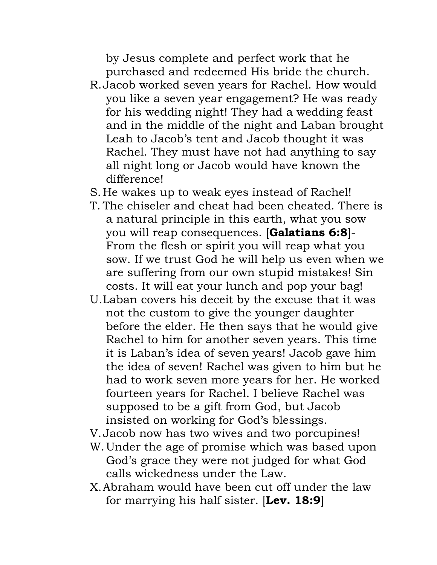by Jesus complete and perfect work that he purchased and redeemed His bride the church.

- R.Jacob worked seven years for Rachel. How would you like a seven year engagement? He was ready for his wedding night! They had a wedding feast and in the middle of the night and Laban brought Leah to Jacob's tent and Jacob thought it was Rachel. They must have not had anything to say all night long or Jacob would have known the difference!
- S. He wakes up to weak eyes instead of Rachel!
- T. The chiseler and cheat had been cheated. There is a natural principle in this earth, what you sow you will reap consequences. [**Galatians 6:8**]- From the flesh or spirit you will reap what you sow. If we trust God he will help us even when we are suffering from our own stupid mistakes! Sin costs. It will eat your lunch and pop your bag!
- U.Laban covers his deceit by the excuse that it was not the custom to give the younger daughter before the elder. He then says that he would give Rachel to him for another seven years. This time it is Laban's idea of seven years! Jacob gave him the idea of seven! Rachel was given to him but he had to work seven more years for her. He worked fourteen years for Rachel. I believe Rachel was supposed to be a gift from God, but Jacob insisted on working for God's blessings.
- V.Jacob now has two wives and two porcupines!
- W.Under the age of promise which was based upon God's grace they were not judged for what God calls wickedness under the Law.
- X.Abraham would have been cut off under the law for marrying his half sister. [**Lev. 18:9**]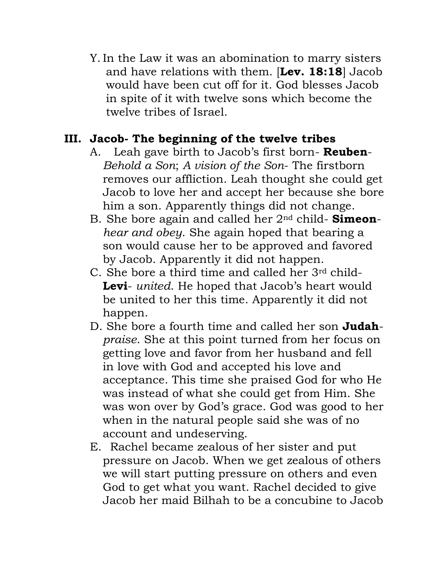Y.In the Law it was an abomination to marry sisters and have relations with them. [**Lev. 18:18**] Jacob would have been cut off for it. God blesses Jacob in spite of it with twelve sons which become the twelve tribes of Israel.

## **III. Jacob- The beginning of the twelve tribes**

- A. Leah gave birth to Jacob's first born- **Reuben**-*Behold a Son*; *A vision of the Son*- The firstborn removes our affliction. Leah thought she could get Jacob to love her and accept her because she bore him a son. Apparently things did not change.
- B. She bore again and called her 2nd child- **Simeon***hear and obey*. She again hoped that bearing a son would cause her to be approved and favored by Jacob. Apparently it did not happen.
- C. She bore a third time and called her 3rd child-**Levi**- *united*. He hoped that Jacob's heart would be united to her this time. Apparently it did not happen.
- D. She bore a fourth time and called her son **Judah***praise*. She at this point turned from her focus on getting love and favor from her husband and fell in love with God and accepted his love and acceptance. This time she praised God for who He was instead of what she could get from Him. She was won over by God's grace. God was good to her when in the natural people said she was of no account and undeserving.
- E. Rachel became zealous of her sister and put pressure on Jacob. When we get zealous of others we will start putting pressure on others and even God to get what you want. Rachel decided to give Jacob her maid Bilhah to be a concubine to Jacob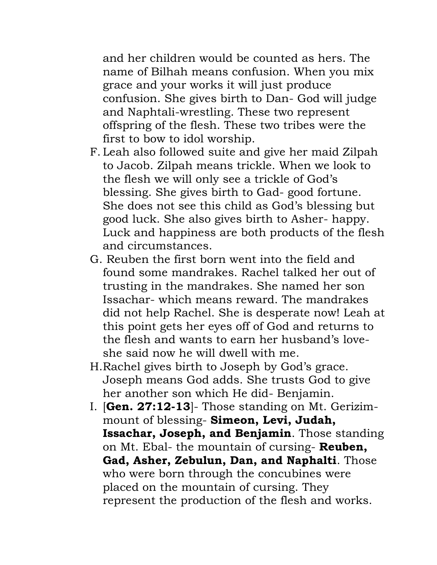and her children would be counted as hers. The name of Bilhah means confusion. When you mix grace and your works it will just produce confusion. She gives birth to Dan- God will judge and Naphtali-wrestling. These two represent offspring of the flesh. These two tribes were the first to bow to idol worship.

- F. Leah also followed suite and give her maid Zilpah to Jacob. Zilpah means trickle. When we look to the flesh we will only see a trickle of God's blessing. She gives birth to Gad- good fortune. She does not see this child as God's blessing but good luck. She also gives birth to Asher- happy. Luck and happiness are both products of the flesh and circumstances.
- G. Reuben the first born went into the field and found some mandrakes. Rachel talked her out of trusting in the mandrakes. She named her son Issachar- which means reward. The mandrakes did not help Rachel. She is desperate now! Leah at this point gets her eyes off of God and returns to the flesh and wants to earn her husband's loveshe said now he will dwell with me.
- H.Rachel gives birth to Joseph by God's grace. Joseph means God adds. She trusts God to give her another son which He did- Benjamin.
- I. [**Gen. 27:12-13**]- Those standing on Mt. Gerizimmount of blessing- **Simeon, Levi, Judah, Issachar, Joseph, and Benjamin**. Those standing on Mt. Ebal- the mountain of cursing- **Reuben, Gad, Asher, Zebulun, Dan, and Naphalti**. Those who were born through the concubines were placed on the mountain of cursing. They represent the production of the flesh and works.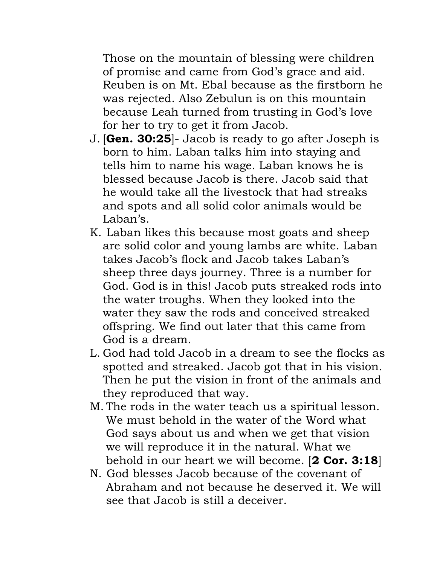Those on the mountain of blessing were children of promise and came from God's grace and aid. Reuben is on Mt. Ebal because as the firstborn he was rejected. Also Zebulun is on this mountain because Leah turned from trusting in God's love for her to try to get it from Jacob.

- J. [**Gen. 30:25**]- Jacob is ready to go after Joseph is born to him. Laban talks him into staying and tells him to name his wage. Laban knows he is blessed because Jacob is there. Jacob said that he would take all the livestock that had streaks and spots and all solid color animals would be Laban's.
- K. Laban likes this because most goats and sheep are solid color and young lambs are white. Laban takes Jacob's flock and Jacob takes Laban's sheep three days journey. Three is a number for God. God is in this! Jacob puts streaked rods into the water troughs. When they looked into the water they saw the rods and conceived streaked offspring. We find out later that this came from God is a dream.
- L. God had told Jacob in a dream to see the flocks as spotted and streaked. Jacob got that in his vision. Then he put the vision in front of the animals and they reproduced that way.
- M. The rods in the water teach us a spiritual lesson. We must behold in the water of the Word what God says about us and when we get that vision we will reproduce it in the natural. What we behold in our heart we will become. [**2 Cor. 3:18**]
- N. God blesses Jacob because of the covenant of Abraham and not because he deserved it. We will see that Jacob is still a deceiver.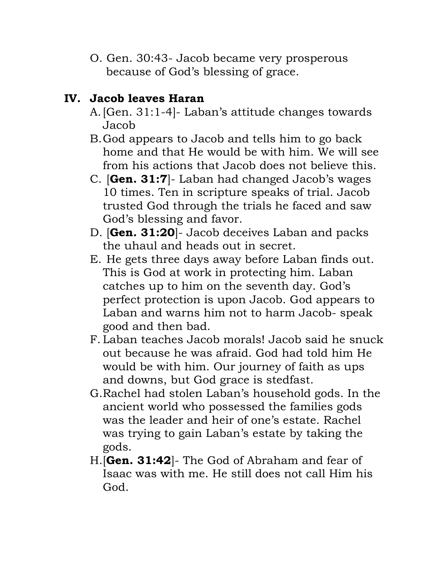O. Gen. 30:43- Jacob became very prosperous because of God's blessing of grace.

# **IV. Jacob leaves Haran**

- A.[Gen. 31:1-4]- Laban's attitude changes towards Jacob
- B.God appears to Jacob and tells him to go back home and that He would be with him. We will see from his actions that Jacob does not believe this.
- C. [**Gen. 31:7**]- Laban had changed Jacob's wages 10 times. Ten in scripture speaks of trial. Jacob trusted God through the trials he faced and saw God's blessing and favor.
- D. [**Gen. 31:20**]- Jacob deceives Laban and packs the uhaul and heads out in secret.
- E. He gets three days away before Laban finds out. This is God at work in protecting him. Laban catches up to him on the seventh day. God's perfect protection is upon Jacob. God appears to Laban and warns him not to harm Jacob- speak good and then bad.
- F. Laban teaches Jacob morals! Jacob said he snuck out because he was afraid. God had told him He would be with him. Our journey of faith as ups and downs, but God grace is stedfast.
- G.Rachel had stolen Laban's household gods. In the ancient world who possessed the families gods was the leader and heir of one's estate. Rachel was trying to gain Laban's estate by taking the gods.
- H.[**Gen. 31:42**]- The God of Abraham and fear of Isaac was with me. He still does not call Him his God.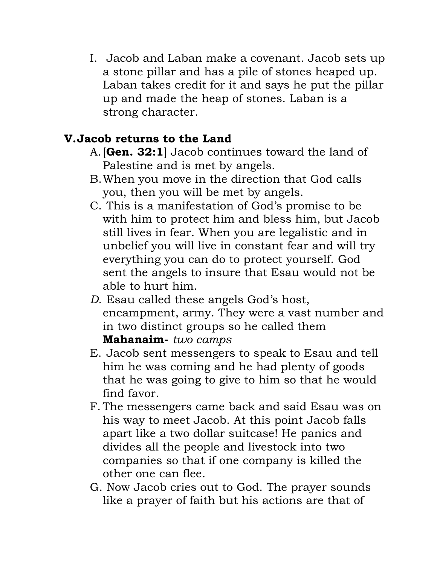I. Jacob and Laban make a covenant. Jacob sets up a stone pillar and has a pile of stones heaped up. Laban takes credit for it and says he put the pillar up and made the heap of stones. Laban is a strong character.

# **V.Jacob returns to the Land**

- A.[**Gen. 32:1**] Jacob continues toward the land of Palestine and is met by angels.
- B.When you move in the direction that God calls you, then you will be met by angels.
- C. This is a manifestation of God's promise to be with him to protect him and bless him, but Jacob still lives in fear. When you are legalistic and in unbelief you will live in constant fear and will try everything you can do to protect yourself. God sent the angels to insure that Esau would not be able to hurt him.
- *D.* Esau called these angels God's host, encampment, army. They were a vast number and in two distinct groups so he called them **Mahanaim-** *two camps*
- E. Jacob sent messengers to speak to Esau and tell him he was coming and he had plenty of goods that he was going to give to him so that he would find favor.
- F. The messengers came back and said Esau was on his way to meet Jacob. At this point Jacob falls apart like a two dollar suitcase! He panics and divides all the people and livestock into two companies so that if one company is killed the other one can flee.
- G. Now Jacob cries out to God. The prayer sounds like a prayer of faith but his actions are that of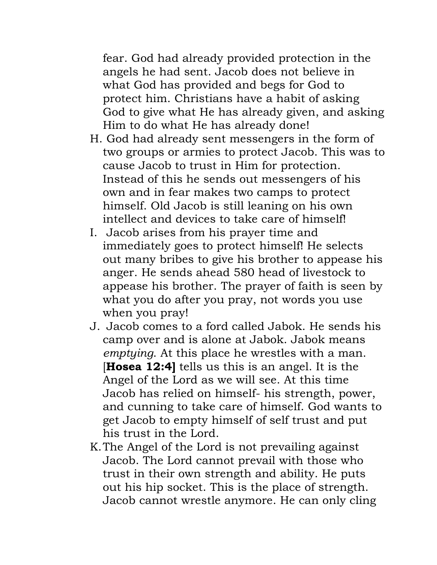fear. God had already provided protection in the angels he had sent. Jacob does not believe in what God has provided and begs for God to protect him. Christians have a habit of asking God to give what He has already given, and asking Him to do what He has already done!

- H. God had already sent messengers in the form of two groups or armies to protect Jacob. This was to cause Jacob to trust in Him for protection. Instead of this he sends out messengers of his own and in fear makes two camps to protect himself. Old Jacob is still leaning on his own intellect and devices to take care of himself!
- I. Jacob arises from his prayer time and immediately goes to protect himself! He selects out many bribes to give his brother to appease his anger. He sends ahead 580 head of livestock to appease his brother. The prayer of faith is seen by what you do after you pray, not words you use when you pray!
- J. Jacob comes to a ford called Jabok. He sends his camp over and is alone at Jabok. Jabok means *emptying*. At this place he wrestles with a man. [**Hosea 12:4]** tells us this is an angel. It is the Angel of the Lord as we will see. At this time Jacob has relied on himself- his strength, power, and cunning to take care of himself. God wants to get Jacob to empty himself of self trust and put his trust in the Lord.
- K.The Angel of the Lord is not prevailing against Jacob. The Lord cannot prevail with those who trust in their own strength and ability. He puts out his hip socket. This is the place of strength. Jacob cannot wrestle anymore. He can only cling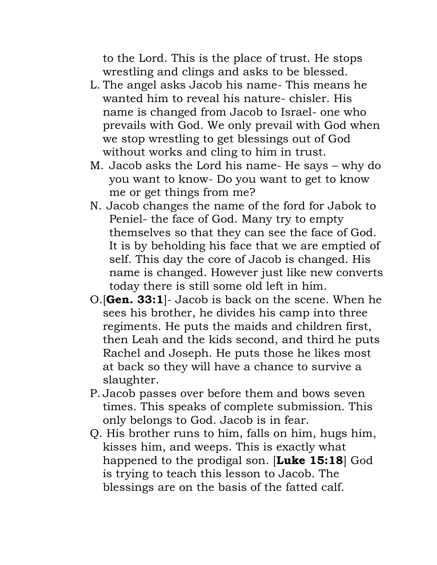to the Lord. This is the place of trust. He stops wrestling and clings and asks to be blessed.

- L. The angel asks Jacob his name- This means he wanted him to reveal his nature- chisler. His name is changed from Jacob to Israel- one who prevails with God. We only prevail with God when we stop wrestling to get blessings out of God without works and cling to him in trust.
- M. Jacob asks the Lord his name- He says why do you want to know- Do you want to get to know me or get things from me?
- N. Jacob changes the name of the ford for Jabok to Peniel- the face of God. Many try to empty themselves so that they can see the face of God. It is by beholding his face that we are emptied of self. This day the core of Jacob is changed. His name is changed. However just like new converts today there is still some old left in him.
- O.[**Gen. 33:1**]- Jacob is back on the scene. When he sees his brother, he divides his camp into three regiments. He puts the maids and children first, then Leah and the kids second, and third he puts Rachel and Joseph. He puts those he likes most at back so they will have a chance to survive a slaughter.
- P. Jacob passes over before them and bows seven times. This speaks of complete submission. This only belongs to God. Jacob is in fear.
- Q. His brother runs to him, falls on him, hugs him, kisses him, and weeps. This is exactly what happened to the prodigal son. [**Luke 15:18**] God is trying to teach this lesson to Jacob. The blessings are on the basis of the fatted calf.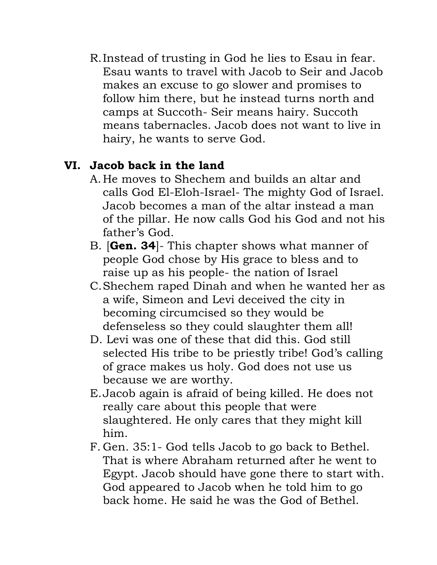R.Instead of trusting in God he lies to Esau in fear. Esau wants to travel with Jacob to Seir and Jacob makes an excuse to go slower and promises to follow him there, but he instead turns north and camps at Succoth- Seir means hairy. Succoth means tabernacles. Jacob does not want to live in hairy, he wants to serve God.

# **VI. Jacob back in the land**

- A.He moves to Shechem and builds an altar and calls God El-Eloh-Israel- The mighty God of Israel. Jacob becomes a man of the altar instead a man of the pillar. He now calls God his God and not his father's God.
- B. [**Gen. 34**]- This chapter shows what manner of people God chose by His grace to bless and to raise up as his people- the nation of Israel
- C.Shechem raped Dinah and when he wanted her as a wife, Simeon and Levi deceived the city in becoming circumcised so they would be defenseless so they could slaughter them all!
- D. Levi was one of these that did this. God still selected His tribe to be priestly tribe! God's calling of grace makes us holy. God does not use us because we are worthy.
- E.Jacob again is afraid of being killed. He does not really care about this people that were slaughtered. He only cares that they might kill him.
- F. Gen. 35:1- God tells Jacob to go back to Bethel. That is where Abraham returned after he went to Egypt. Jacob should have gone there to start with. God appeared to Jacob when he told him to go back home. He said he was the God of Bethel.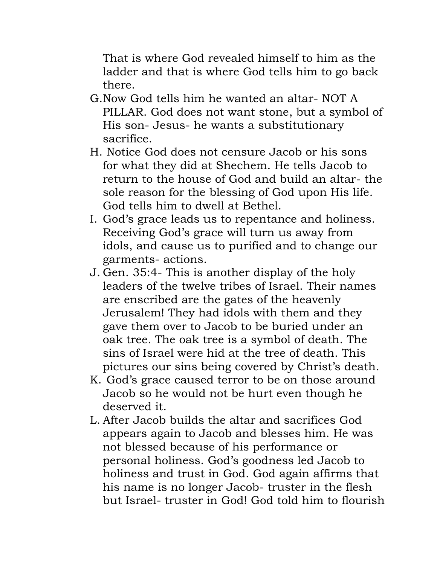That is where God revealed himself to him as the ladder and that is where God tells him to go back there.

- G.Now God tells him he wanted an altar- NOT A PILLAR. God does not want stone, but a symbol of His son- Jesus- he wants a substitutionary sacrifice.
- H. Notice God does not censure Jacob or his sons for what they did at Shechem. He tells Jacob to return to the house of God and build an altar- the sole reason for the blessing of God upon His life. God tells him to dwell at Bethel.
- I. God's grace leads us to repentance and holiness. Receiving God's grace will turn us away from idols, and cause us to purified and to change our garments- actions.
- J. Gen. 35:4- This is another display of the holy leaders of the twelve tribes of Israel. Their names are enscribed are the gates of the heavenly Jerusalem! They had idols with them and they gave them over to Jacob to be buried under an oak tree. The oak tree is a symbol of death. The sins of Israel were hid at the tree of death. This pictures our sins being covered by Christ's death.
- K. God's grace caused terror to be on those around Jacob so he would not be hurt even though he deserved it.
- L. After Jacob builds the altar and sacrifices God appears again to Jacob and blesses him. He was not blessed because of his performance or personal holiness. God's goodness led Jacob to holiness and trust in God. God again affirms that his name is no longer Jacob- truster in the flesh but Israel- truster in God! God told him to flourish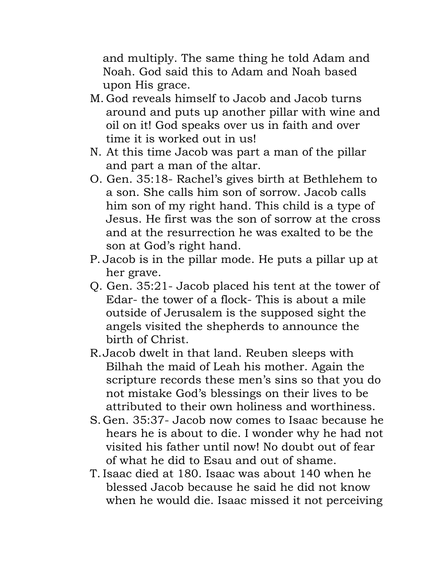and multiply. The same thing he told Adam and Noah. God said this to Adam and Noah based upon His grace.

- M. God reveals himself to Jacob and Jacob turns around and puts up another pillar with wine and oil on it! God speaks over us in faith and over time it is worked out in us!
- N. At this time Jacob was part a man of the pillar and part a man of the altar.
- O. Gen. 35:18- Rachel's gives birth at Bethlehem to a son. She calls him son of sorrow. Jacob calls him son of my right hand. This child is a type of Jesus. He first was the son of sorrow at the cross and at the resurrection he was exalted to be the son at God's right hand.
- P. Jacob is in the pillar mode. He puts a pillar up at her grave.
- Q. Gen. 35:21- Jacob placed his tent at the tower of Edar- the tower of a flock- This is about a mile outside of Jerusalem is the supposed sight the angels visited the shepherds to announce the birth of Christ.
- R.Jacob dwelt in that land. Reuben sleeps with Bilhah the maid of Leah his mother. Again the scripture records these men's sins so that you do not mistake God's blessings on their lives to be attributed to their own holiness and worthiness.
- S. Gen. 35:37- Jacob now comes to Isaac because he hears he is about to die. I wonder why he had not visited his father until now! No doubt out of fear of what he did to Esau and out of shame.
- T. Isaac died at 180. Isaac was about 140 when he blessed Jacob because he said he did not know when he would die. Isaac missed it not perceiving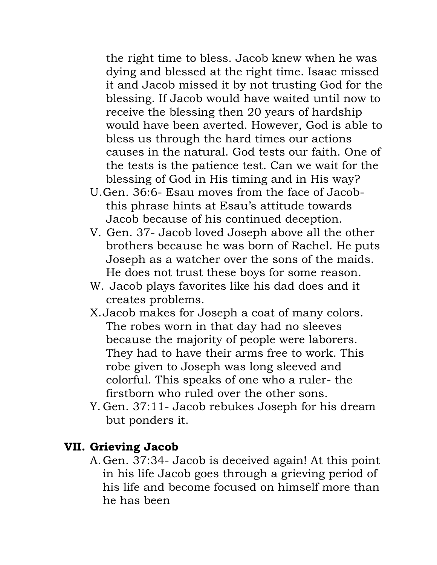the right time to bless. Jacob knew when he was dying and blessed at the right time. Isaac missed it and Jacob missed it by not trusting God for the blessing. If Jacob would have waited until now to receive the blessing then 20 years of hardship would have been averted. However, God is able to bless us through the hard times our actions causes in the natural. God tests our faith. One of the tests is the patience test. Can we wait for the blessing of God in His timing and in His way?

- U.Gen. 36:6- Esau moves from the face of Jacobthis phrase hints at Esau's attitude towards Jacob because of his continued deception.
- V. Gen. 37- Jacob loved Joseph above all the other brothers because he was born of Rachel. He puts Joseph as a watcher over the sons of the maids. He does not trust these boys for some reason.
- W. Jacob plays favorites like his dad does and it creates problems.
- X.Jacob makes for Joseph a coat of many colors. The robes worn in that day had no sleeves because the majority of people were laborers. They had to have their arms free to work. This robe given to Joseph was long sleeved and colorful. This speaks of one who a ruler- the firstborn who ruled over the other sons.
- Y. Gen. 37:11- Jacob rebukes Joseph for his dream but ponders it.

#### **VII. Grieving Jacob**

A.Gen. 37:34- Jacob is deceived again! At this point in his life Jacob goes through a grieving period of his life and become focused on himself more than he has been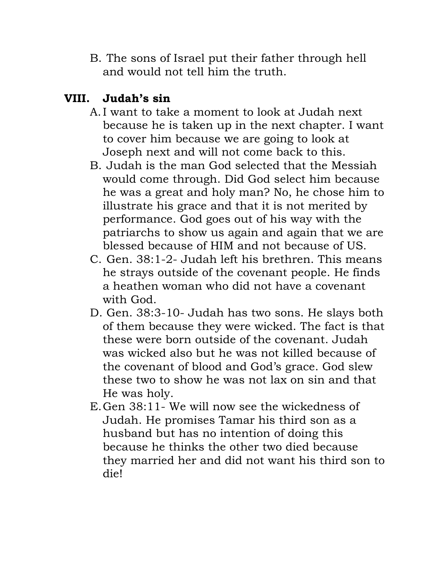B. The sons of Israel put their father through hell and would not tell him the truth.

# **VIII. Judah's sin**

- A.I want to take a moment to look at Judah next because he is taken up in the next chapter. I want to cover him because we are going to look at Joseph next and will not come back to this.
- B. Judah is the man God selected that the Messiah would come through. Did God select him because he was a great and holy man? No, he chose him to illustrate his grace and that it is not merited by performance. God goes out of his way with the patriarchs to show us again and again that we are blessed because of HIM and not because of US.
- C. Gen. 38:1-2- Judah left his brethren. This means he strays outside of the covenant people. He finds a heathen woman who did not have a covenant with God.
- D. Gen. 38:3-10- Judah has two sons. He slays both of them because they were wicked. The fact is that these were born outside of the covenant. Judah was wicked also but he was not killed because of the covenant of blood and God's grace. God slew these two to show he was not lax on sin and that He was holy.
- E.Gen 38:11- We will now see the wickedness of Judah. He promises Tamar his third son as a husband but has no intention of doing this because he thinks the other two died because they married her and did not want his third son to die!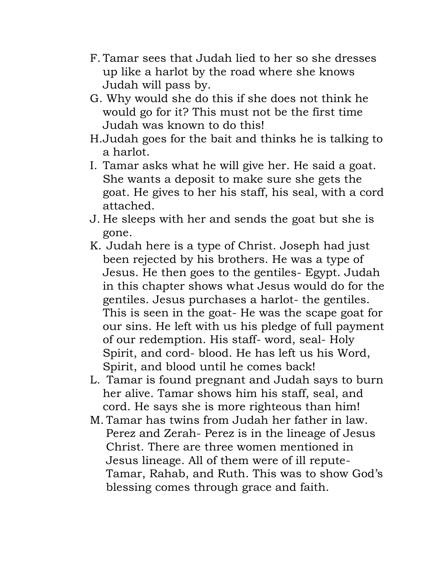- F. Tamar sees that Judah lied to her so she dresses up like a harlot by the road where she knows Judah will pass by.
- G. Why would she do this if she does not think he would go for it? This must not be the first time Judah was known to do this!
- H.Judah goes for the bait and thinks he is talking to a harlot.
- I. Tamar asks what he will give her. He said a goat. She wants a deposit to make sure she gets the goat. He gives to her his staff, his seal, with a cord attached.
- J. He sleeps with her and sends the goat but she is gone.
- K. Judah here is a type of Christ. Joseph had just been rejected by his brothers. He was a type of Jesus. He then goes to the gentiles- Egypt. Judah in this chapter shows what Jesus would do for the gentiles. Jesus purchases a harlot- the gentiles. This is seen in the goat- He was the scape goat for our sins. He left with us his pledge of full payment of our redemption. His staff- word, seal- Holy Spirit, and cord- blood. He has left us his Word, Spirit, and blood until he comes back!
- L. Tamar is found pregnant and Judah says to burn her alive. Tamar shows him his staff, seal, and cord. He says she is more righteous than him!
- M. Tamar has twins from Judah her father in law. Perez and Zerah- Perez is in the lineage of Jesus Christ. There are three women mentioned in Jesus lineage. All of them were of ill repute-Tamar, Rahab, and Ruth. This was to show God's blessing comes through grace and faith.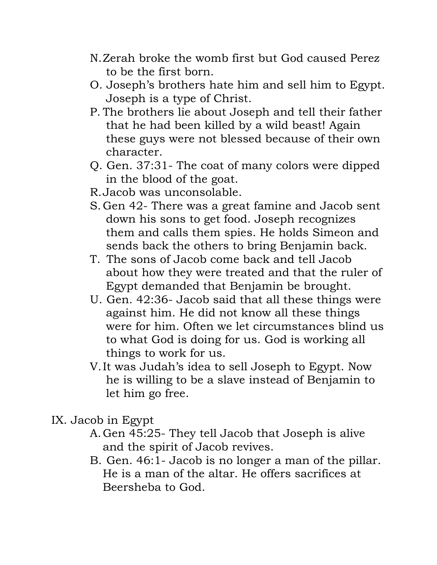- N.Zerah broke the womb first but God caused Perez to be the first born.
- O. Joseph's brothers hate him and sell him to Egypt. Joseph is a type of Christ.
- P. The brothers lie about Joseph and tell their father that he had been killed by a wild beast! Again these guys were not blessed because of their own character.
- Q. Gen. 37:31- The coat of many colors were dipped in the blood of the goat.
- R.Jacob was unconsolable.
- S. Gen 42- There was a great famine and Jacob sent down his sons to get food. Joseph recognizes them and calls them spies. He holds Simeon and sends back the others to bring Benjamin back.
- T. The sons of Jacob come back and tell Jacob about how they were treated and that the ruler of Egypt demanded that Benjamin be brought.
- U. Gen. 42:36- Jacob said that all these things were against him. He did not know all these things were for him. Often we let circumstances blind us to what God is doing for us. God is working all things to work for us.
- V.It was Judah's idea to sell Joseph to Egypt. Now he is willing to be a slave instead of Benjamin to let him go free.
- IX. Jacob in Egypt
	- A.Gen 45:25- They tell Jacob that Joseph is alive and the spirit of Jacob revives.
	- B. Gen. 46:1- Jacob is no longer a man of the pillar. He is a man of the altar. He offers sacrifices at Beersheba to God.